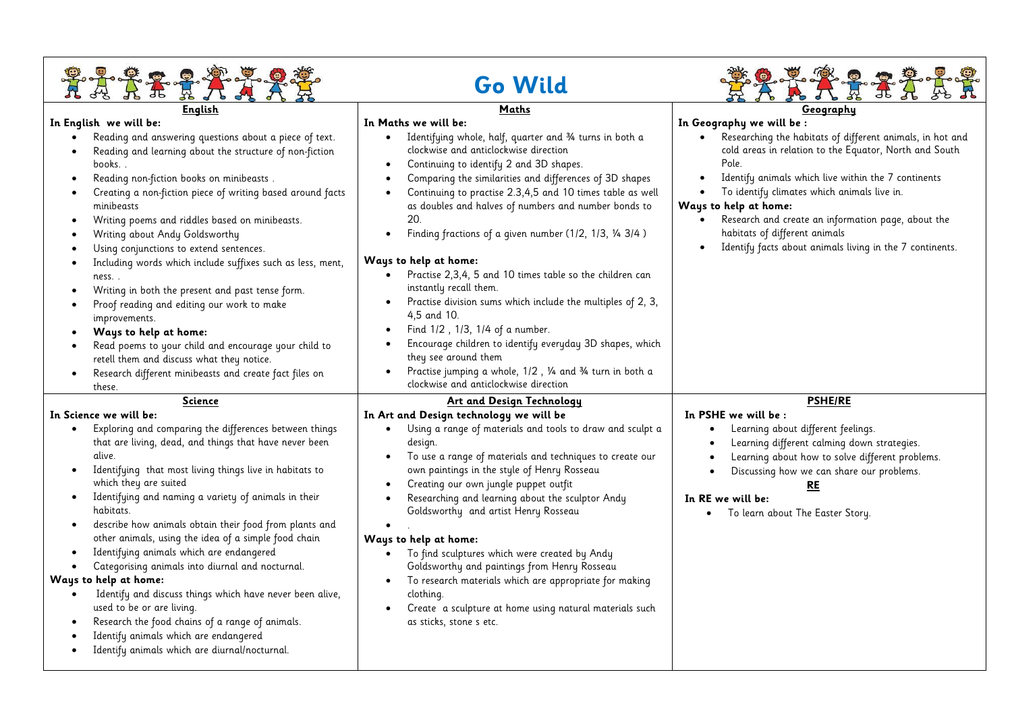| <b>Go Wild</b>                                                                                                                                                                                                                                                                                                                                                                                                                                                                                                                                                                                                                                                                                                                                                                                                                                                                                                                                |                                                                                                                                                                                                                                                                                                                                                                                                                                                                                                                                                                                                                                                                                                                                                                                                                                                                                                 |                                                                                                                                                                                                                                                                                                                                                                                                                                                          |
|-----------------------------------------------------------------------------------------------------------------------------------------------------------------------------------------------------------------------------------------------------------------------------------------------------------------------------------------------------------------------------------------------------------------------------------------------------------------------------------------------------------------------------------------------------------------------------------------------------------------------------------------------------------------------------------------------------------------------------------------------------------------------------------------------------------------------------------------------------------------------------------------------------------------------------------------------|-------------------------------------------------------------------------------------------------------------------------------------------------------------------------------------------------------------------------------------------------------------------------------------------------------------------------------------------------------------------------------------------------------------------------------------------------------------------------------------------------------------------------------------------------------------------------------------------------------------------------------------------------------------------------------------------------------------------------------------------------------------------------------------------------------------------------------------------------------------------------------------------------|----------------------------------------------------------------------------------------------------------------------------------------------------------------------------------------------------------------------------------------------------------------------------------------------------------------------------------------------------------------------------------------------------------------------------------------------------------|
| <b>English</b><br>In English we will be:<br>Reading and answering questions about a piece of text.<br>$\bullet$<br>Reading and learning about the structure of non-fiction<br>books<br>Reading non-fiction books on minibeasts.<br>$\bullet$<br>Creating a non-fiction piece of writing based around facts<br>minibeasts<br>Writing poems and riddles based on minibeasts.<br>$\bullet$<br>Writing about Andy Goldsworthy<br>$\bullet$<br>Using conjunctions to extend sentences.<br>$\bullet$<br>Including words which include suffixes such as less, ment,<br>$\bullet$<br>ness<br>Writing in both the present and past tense form.<br>$\bullet$<br>Proof reading and editing our work to make<br>$\bullet$<br>improvements.<br>Ways to help at home:<br>Read poems to your child and encourage your child to<br>$\bullet$<br>retell them and discuss what they notice.<br>Research different minibeasts and create fact files on<br>these. | Maths<br>In Maths we will be:<br>Identifying whole, half, quarter and 34 turns in both a<br>$\bullet$<br>clockwise and anticlockwise direction<br>Continuing to identify 2 and 3D shapes.<br>$\bullet$<br>Comparing the similarities and differences of 3D shapes<br>Continuing to practise 2.3,4,5 and 10 times table as well<br>as doubles and halves of numbers and number bonds to<br>20.<br>Finding fractions of a given number (1/2, 1/3, 1/4 3/4)<br>Ways to help at home:<br>Practise 2,3,4, 5 and 10 times table so the children can<br>instantly recall them.<br>Practise division sums which include the multiples of 2, 3,<br>4,5 and 10.<br>Find 1/2, 1/3, 1/4 of a number.<br>$\bullet$<br>Encourage children to identify everyday 3D shapes, which<br>they see around them<br>Practise jumping a whole, 1/2, 1/4 and 3/4 turn in both a<br>clockwise and anticlockwise direction | Geography<br>In Geography we will be :<br>Researching the habitats of different animals, in hot and<br>cold areas in relation to the Equator, North and South<br>Pole.<br>Identify animals which live within the 7 continents<br>To identify climates which animals live in.<br>Ways to help at home:<br>Research and create an information page, about the<br>habitats of different animals<br>Identify facts about animals living in the 7 continents. |
| Science<br>In Science we will be:<br>Exploring and comparing the differences between things<br>$\bullet$<br>that are living, dead, and things that have never been<br>alive.<br>Identifying that most living things live in habitats to<br>$\bullet$<br>which they are suited<br>Identifying and naming a variety of animals in their<br>$\bullet$<br>habitats.<br>describe how animals obtain their food from plants and<br>$\bullet$<br>other animals, using the idea of a simple food chain<br>Identifying animals which are endangered<br>$\bullet$<br>Categorising animals into diurnal and nocturnal.<br>$\bullet$<br>Ways to help at home:<br>Identify and discuss things which have never been alive,<br>$\bullet$<br>used to be or are living.<br>Research the food chains of a range of animals.<br>Identify animals which are endangered<br>Identify animals which are diurnal/nocturnal.                                          | Art and Design Technology<br>In Art and Design technology we will be<br>Using a range of materials and tools to draw and sculpt a<br>$\bullet$<br>design.<br>To use a range of materials and techniques to create our<br>own paintings in the style of Henry Rosseau<br>Creating our own jungle puppet outfit<br>Researching and learning about the sculptor Andy<br>Goldsworthy and artist Henry Rosseau<br>Ways to help at home:<br>To find sculptures which were created by Andy<br>$\bullet$<br>Goldsworthy and paintings from Henry Rosseau<br>To research materials which are appropriate for making<br>$\bullet$<br>clothing.<br>Create a sculpture at home using natural materials such<br>as sticks, stone s etc.                                                                                                                                                                      | <b>PSHE/RE</b><br>In PSHE we will be:<br>Learning about different feelings.<br>Learning different calming down strategies.<br>Learning about how to solve different problems.<br>$\bullet$<br>Discussing how we can share our problems.<br><b>RE</b><br>In RE we will be:<br>To learn about The Easter Story.<br>$\bullet$                                                                                                                               |